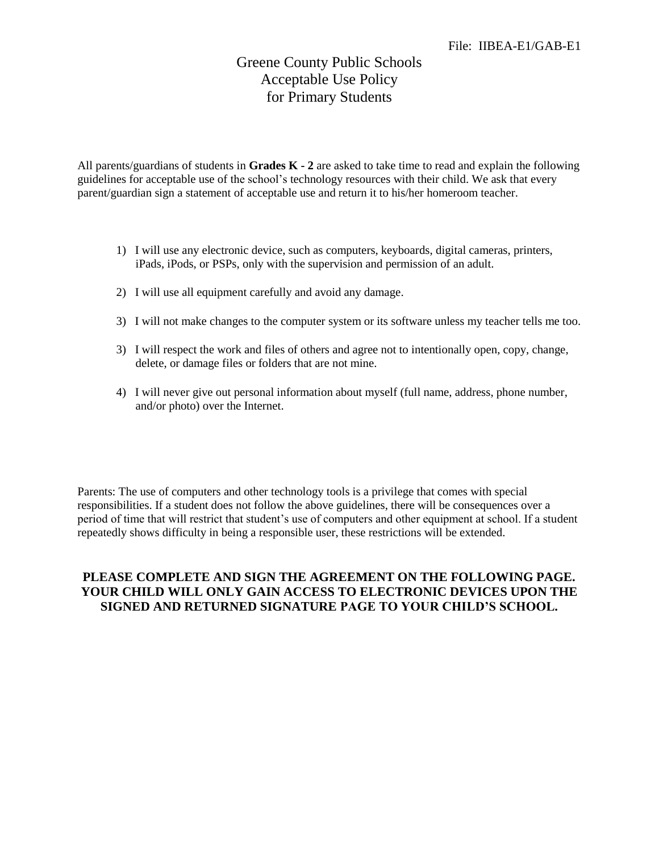## Greene County Public Schools Acceptable Use Policy for Primary Students

All parents/guardians of students in **Grades K - 2** are asked to take time to read and explain the following guidelines for acceptable use of the school's technology resources with their child. We ask that every parent/guardian sign a statement of acceptable use and return it to his/her homeroom teacher.

- 1) I will use any electronic device, such as computers, keyboards, digital cameras, printers, iPads, iPods, or PSPs, only with the supervision and permission of an adult.
- 2) I will use all equipment carefully and avoid any damage.
- 3) I will not make changes to the computer system or its software unless my teacher tells me too.
- 3) I will respect the work and files of others and agree not to intentionally open, copy, change, delete, or damage files or folders that are not mine.
- 4) I will never give out personal information about myself (full name, address, phone number, and/or photo) over the Internet.

Parents: The use of computers and other technology tools is a privilege that comes with special responsibilities. If a student does not follow the above guidelines, there will be consequences over a period of time that will restrict that student's use of computers and other equipment at school. If a student repeatedly shows difficulty in being a responsible user, these restrictions will be extended.

## **PLEASE COMPLETE AND SIGN THE AGREEMENT ON THE FOLLOWING PAGE. YOUR CHILD WILL ONLY GAIN ACCESS TO ELECTRONIC DEVICES UPON THE SIGNED AND RETURNED SIGNATURE PAGE TO YOUR CHILD'S SCHOOL.**